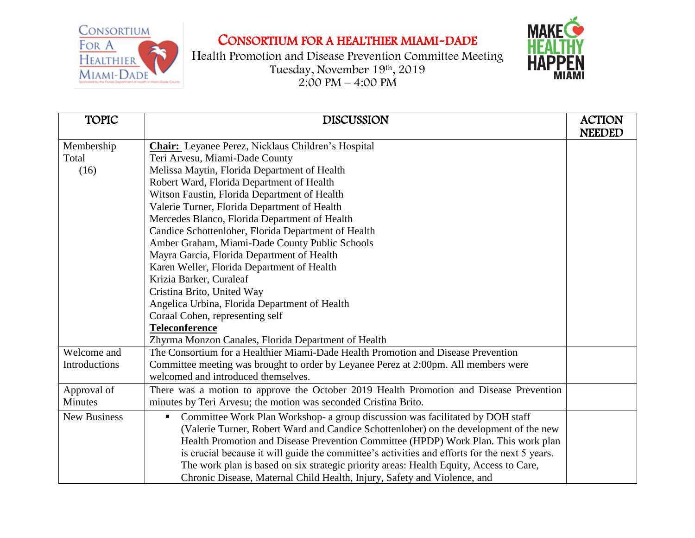

## CONSORTIUM FOR A HEALTHIER MIAMI-DADE

Health Promotion and Disease Prevention Committee Meeting Tuesday, November 19th , 2019 2:00 PM – 4:00 PM



| <b>TOPIC</b>        | <b>DISCUSSION</b>                                                                                 | <b>ACTION</b><br><b>NEEDED</b> |
|---------------------|---------------------------------------------------------------------------------------------------|--------------------------------|
| Membership          | <b>Chair:</b> Leyanee Perez, Nicklaus Children's Hospital                                         |                                |
| Total               | Teri Arvesu, Miami-Dade County                                                                    |                                |
| (16)                | Melissa Maytin, Florida Department of Health                                                      |                                |
|                     | Robert Ward, Florida Department of Health                                                         |                                |
|                     | Witson Faustin, Florida Department of Health                                                      |                                |
|                     | Valerie Turner, Florida Department of Health                                                      |                                |
|                     | Mercedes Blanco, Florida Department of Health                                                     |                                |
|                     | Candice Schottenloher, Florida Department of Health                                               |                                |
|                     | Amber Graham, Miami-Dade County Public Schools                                                    |                                |
|                     | Mayra Garcia, Florida Department of Health                                                        |                                |
|                     | Karen Weller, Florida Department of Health                                                        |                                |
|                     | Krizia Barker, Curaleaf                                                                           |                                |
|                     | Cristina Brito, United Way                                                                        |                                |
|                     | Angelica Urbina, Florida Department of Health                                                     |                                |
|                     | Coraal Cohen, representing self                                                                   |                                |
|                     | <b>Teleconference</b>                                                                             |                                |
|                     | Zhyrma Monzon Canales, Florida Department of Health                                               |                                |
| Welcome and         | The Consortium for a Healthier Miami-Dade Health Promotion and Disease Prevention                 |                                |
| Introductions       | Committee meeting was brought to order by Leyanee Perez at 2:00pm. All members were               |                                |
|                     | welcomed and introduced themselves.                                                               |                                |
| Approval of         | There was a motion to approve the October 2019 Health Promotion and Disease Prevention            |                                |
| <b>Minutes</b>      | minutes by Teri Arvesu; the motion was seconded Cristina Brito.                                   |                                |
| <b>New Business</b> | Committee Work Plan Workshop- a group discussion was facilitated by DOH staff<br>$\blacksquare$ . |                                |
|                     | (Valerie Turner, Robert Ward and Candice Schottenloher) on the development of the new             |                                |
|                     | Health Promotion and Disease Prevention Committee (HPDP) Work Plan. This work plan                |                                |
|                     | is crucial because it will guide the committee's activities and efforts for the next 5 years.     |                                |
|                     | The work plan is based on six strategic priority areas: Health Equity, Access to Care,            |                                |
|                     | Chronic Disease, Maternal Child Health, Injury, Safety and Violence, and                          |                                |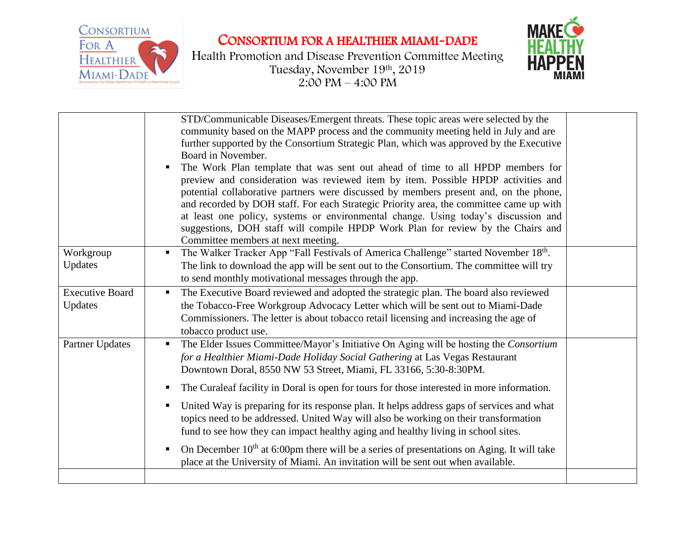CONSORTIUM FOR A HEALTHIER MIAMI-DADE



Health Promotion and Disease Prevention Committee Meeting Tuesday, November 19th , 2019  $2:00 \text{ PM} - 4:00 \text{ PM}$ 



|                                   | STD/Communicable Diseases/Emergent threats. These topic areas were selected by the<br>community based on the MAPP process and the community meeting held in July and are<br>further supported by the Consortium Strategic Plan, which was approved by the Executive<br>Board in November.<br>The Work Plan template that was sent out ahead of time to all HPDP members for<br>preview and consideration was reviewed item by item. Possible HPDP activities and<br>potential collaborative partners were discussed by members present and, on the phone,<br>and recorded by DOH staff. For each Strategic Priority area, the committee came up with<br>at least one policy, systems or environmental change. Using today's discussion and<br>suggestions, DOH staff will compile HPDP Work Plan for review by the Chairs and<br>Committee members at next meeting. |  |
|-----------------------------------|---------------------------------------------------------------------------------------------------------------------------------------------------------------------------------------------------------------------------------------------------------------------------------------------------------------------------------------------------------------------------------------------------------------------------------------------------------------------------------------------------------------------------------------------------------------------------------------------------------------------------------------------------------------------------------------------------------------------------------------------------------------------------------------------------------------------------------------------------------------------|--|
| Workgroup                         | The Walker Tracker App "Fall Festivals of America Challenge" started November 18th.                                                                                                                                                                                                                                                                                                                                                                                                                                                                                                                                                                                                                                                                                                                                                                                 |  |
| Updates                           | The link to download the app will be sent out to the Consortium. The committee will try                                                                                                                                                                                                                                                                                                                                                                                                                                                                                                                                                                                                                                                                                                                                                                             |  |
|                                   | to send monthly motivational messages through the app.                                                                                                                                                                                                                                                                                                                                                                                                                                                                                                                                                                                                                                                                                                                                                                                                              |  |
| <b>Executive Board</b><br>Updates | The Executive Board reviewed and adopted the strategic plan. The board also reviewed<br>the Tobacco-Free Workgroup Advocacy Letter which will be sent out to Miami-Dade<br>Commissioners. The letter is about tobacco retail licensing and increasing the age of<br>tobacco product use.                                                                                                                                                                                                                                                                                                                                                                                                                                                                                                                                                                            |  |
| Partner Updates                   | The Elder Issues Committee/Mayor's Initiative On Aging will be hosting the Consortium<br>for a Healthier Miami-Dade Holiday Social Gathering at Las Vegas Restaurant<br>Downtown Doral, 8550 NW 53 Street, Miami, FL 33166, 5:30-8:30PM.                                                                                                                                                                                                                                                                                                                                                                                                                                                                                                                                                                                                                            |  |
|                                   | The Curaleaf facility in Doral is open for tours for those interested in more information.                                                                                                                                                                                                                                                                                                                                                                                                                                                                                                                                                                                                                                                                                                                                                                          |  |
|                                   | United Way is preparing for its response plan. It helps address gaps of services and what<br>topics need to be addressed. United Way will also be working on their transformation<br>fund to see how they can impact healthy aging and healthy living in school sites.                                                                                                                                                                                                                                                                                                                                                                                                                                                                                                                                                                                              |  |
|                                   | On December $10th$ at 6:00pm there will be a series of presentations on Aging. It will take<br>place at the University of Miami. An invitation will be sent out when available.                                                                                                                                                                                                                                                                                                                                                                                                                                                                                                                                                                                                                                                                                     |  |
|                                   |                                                                                                                                                                                                                                                                                                                                                                                                                                                                                                                                                                                                                                                                                                                                                                                                                                                                     |  |